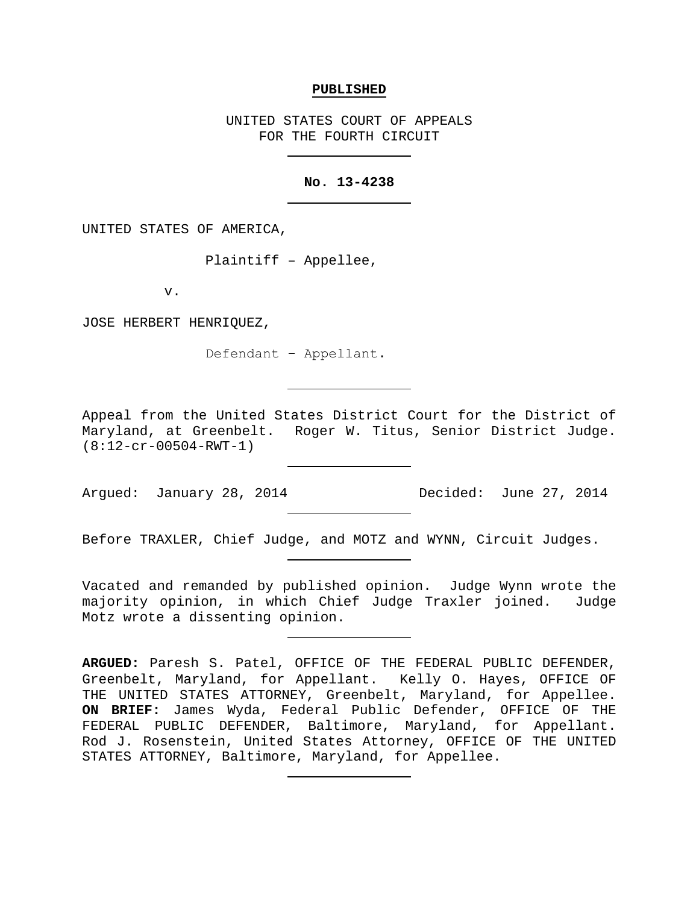#### **PUBLISHED**

UNITED STATES COURT OF APPEALS FOR THE FOURTH CIRCUIT

### **No. 13-4238**

UNITED STATES OF AMERICA,

Plaintiff – Appellee,

v.

JOSE HERBERT HENRIQUEZ,

Defendant − Appellant.

Appeal from the United States District Court for the District of Maryland, at Greenbelt. Roger W. Titus, Senior District Judge. (8:12-cr-00504-RWT-1)

Arqued: January 28, 2014 Decided: June 27, 2014

Before TRAXLER, Chief Judge, and MOTZ and WYNN, Circuit Judges.

Vacated and remanded by published opinion. Judge Wynn wrote the majority opinion, in which Chief Judge Traxler joined. Judge Motz wrote a dissenting opinion.

**ARGUED:** Paresh S. Patel, OFFICE OF THE FEDERAL PUBLIC DEFENDER, Greenbelt, Maryland, for Appellant. Kelly O. Hayes, OFFICE OF THE UNITED STATES ATTORNEY, Greenbelt, Maryland, for Appellee. **ON BRIEF:** James Wyda, Federal Public Defender, OFFICE OF THE FEDERAL PUBLIC DEFENDER, Baltimore, Maryland, for Appellant. Rod J. Rosenstein, United States Attorney, OFFICE OF THE UNITED STATES ATTORNEY, Baltimore, Maryland, for Appellee.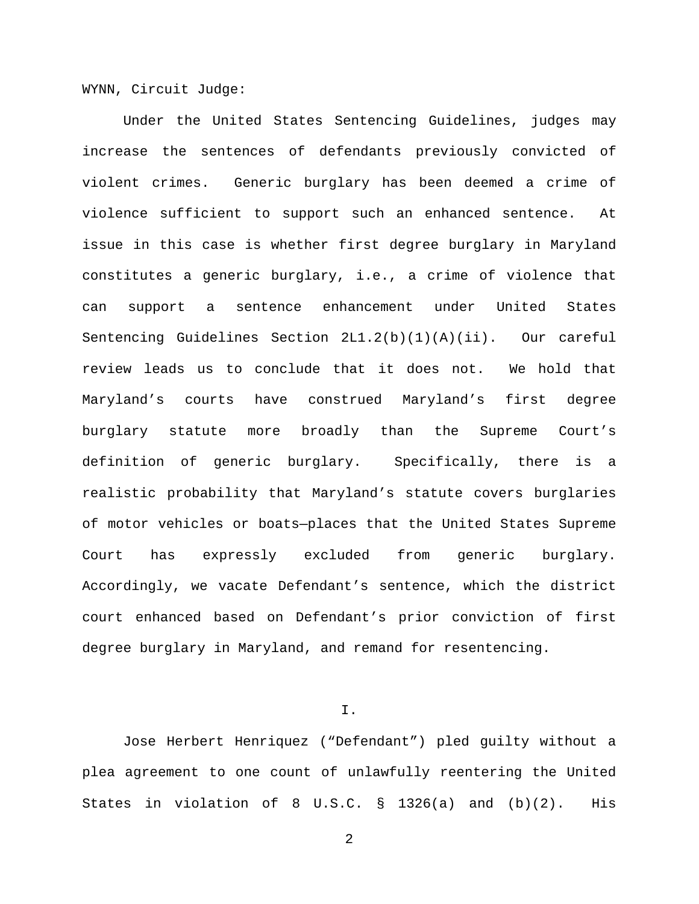WYNN, Circuit Judge:

Under the United States Sentencing Guidelines, judges may increase the sentences of defendants previously convicted of violent crimes. Generic burglary has been deemed a crime of violence sufficient to support such an enhanced sentence. At issue in this case is whether first degree burglary in Maryland constitutes a generic burglary, i.e., a crime of violence that can support a sentence enhancement under United States Sentencing Guidelines Section 2L1.2(b)(1)(A)(ii). Our careful review leads us to conclude that it does not. We hold that Maryland's courts have construed Maryland's first degree burglary statute more broadly than the Supreme Court's definition of generic burglary. Specifically, there is a realistic probability that Maryland's statute covers burglaries of motor vehicles or boats—places that the United States Supreme Court has expressly excluded from generic burglary. Accordingly, we vacate Defendant's sentence, which the district court enhanced based on Defendant's prior conviction of first degree burglary in Maryland, and remand for resentencing.

I.

Jose Herbert Henriquez ("Defendant") pled guilty without a plea agreement to one count of unlawfully reentering the United States in violation of 8 U.S.C. § 1326(a) and (b)(2). His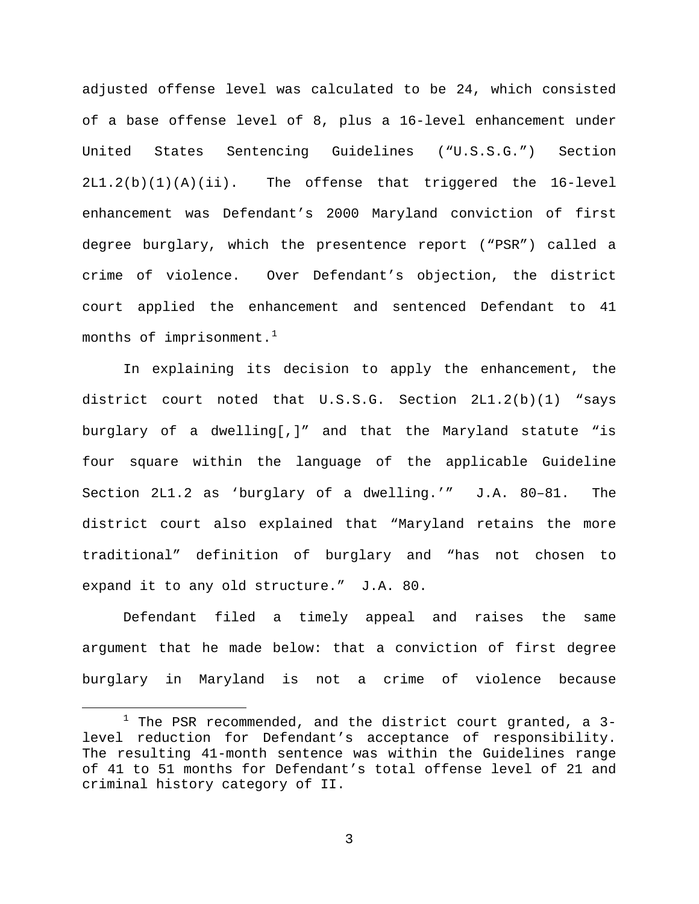adjusted offense level was calculated to be 24, which consisted of a base offense level of 8, plus a 16-level enhancement under United States Sentencing Guidelines ("U.S.S.G.") Section 2L1.2(b)(1)(A)(ii). The offense that triggered the 16-level enhancement was Defendant's 2000 Maryland conviction of first degree burglary, which the presentence report ("PSR") called a crime of violence. Over Defendant's objection, the district court applied the enhancement and sentenced Defendant to 41 months of imprisonment. $^1$  $^1$ 

In explaining its decision to apply the enhancement, the district court noted that U.S.S.G. Section 2L1.2(b)(1) "says burglary of a dwelling[,]" and that the Maryland statute "is four square within the language of the applicable Guideline Section 2L1.2 as 'burglary of a dwelling.'" J.A. 80–81. The district court also explained that "Maryland retains the more traditional" definition of burglary and "has not chosen to expand it to any old structure." J.A. 80.

Defendant filed a timely appeal and raises the same argument that he made below: that a conviction of first degree burglary in Maryland is not a crime of violence because

<span id="page-2-0"></span> $1$  The PSR recommended, and the district court granted, a 3level reduction for Defendant's acceptance of responsibility. The resulting 41-month sentence was within the Guidelines range of 41 to 51 months for Defendant's total offense level of 21 and criminal history category of II.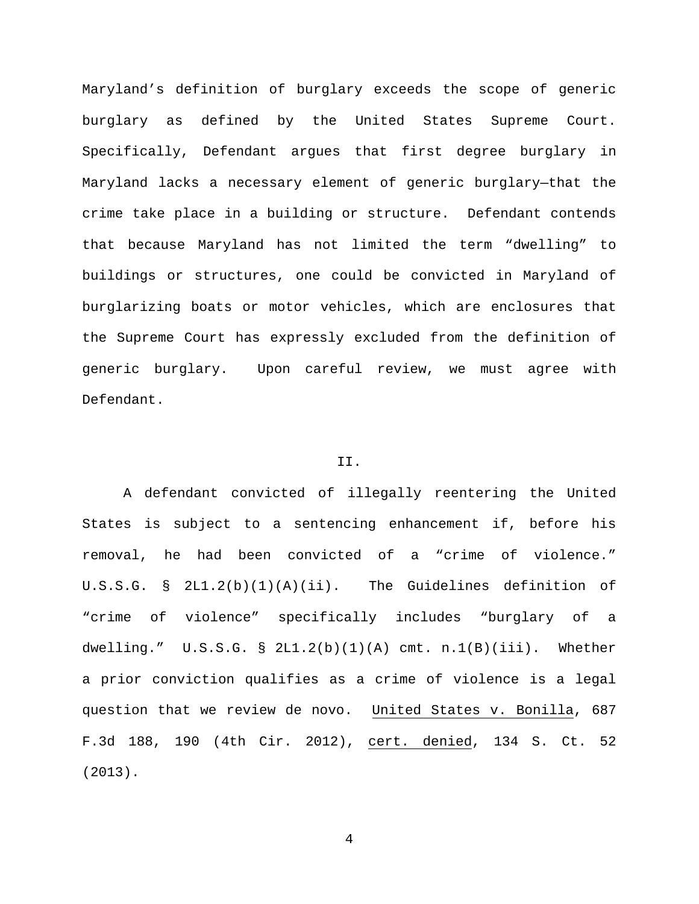Maryland's definition of burglary exceeds the scope of generic burglary as defined by the United States Supreme Court. Specifically, Defendant argues that first degree burglary in Maryland lacks a necessary element of generic burglary—that the crime take place in a building or structure. Defendant contends that because Maryland has not limited the term "dwelling" to buildings or structures, one could be convicted in Maryland of burglarizing boats or motor vehicles, which are enclosures that the Supreme Court has expressly excluded from the definition of generic burglary. Upon careful review, we must agree with Defendant.

## II.

A defendant convicted of illegally reentering the United States is subject to a sentencing enhancement if, before his removal, he had been convicted of a "crime of violence." U.S.S.G. § 2L1.2(b)(1)(A)(ii). The Guidelines definition of "crime of violence" specifically includes "burglary of a dwelling."  $U.S.S.G. S 2L1.2(b)(1)(A)$  cmt.  $n.1(B)(iii)$ . Whether a prior conviction qualifies as a crime of violence is a legal question that we review de novo. United States v. Bonilla, 687 F.3d 188, 190 (4th Cir. 2012), cert. denied, 134 S. Ct. 52 (2013).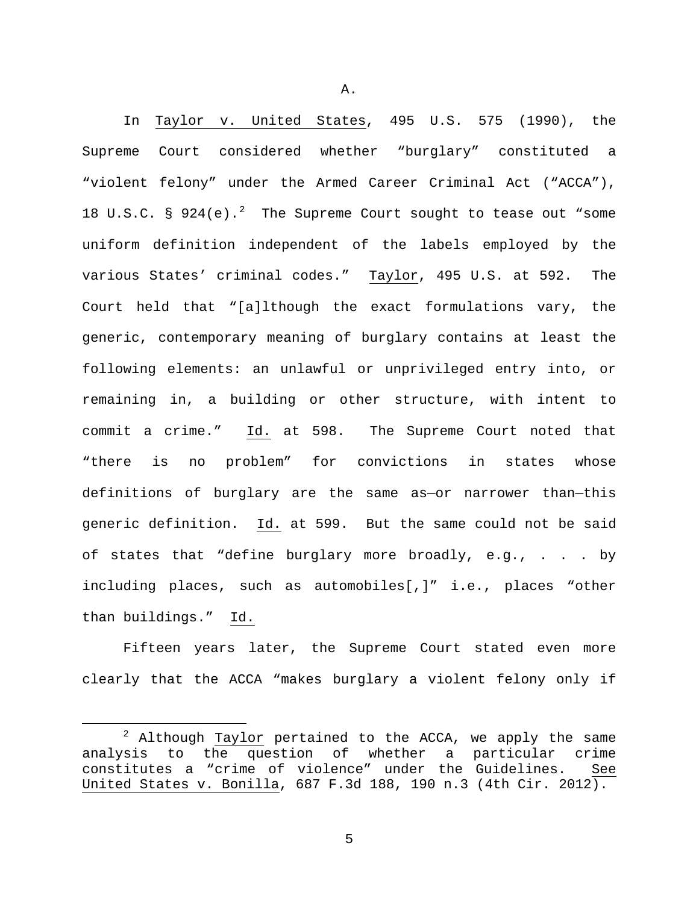In Taylor v. United States, 495 U.S. 575 (1990), the Supreme Court considered whether "burglary" constituted a "violent felony" under the Armed Career Criminal Act ("ACCA"), 18 U.S.C.  $\frac{1}{2}$  $\frac{1}{2}$  $\frac{1}{2}$   $\frac{1}{2}$   $\frac{1}{2}$  The Supreme Court sought to tease out "some uniform definition independent of the labels employed by the various States' criminal codes." Taylor, 495 U.S. at 592. The Court held that "[a]lthough the exact formulations vary, the generic, contemporary meaning of burglary contains at least the following elements: an unlawful or unprivileged entry into, or remaining in, a building or other structure, with intent to commit a crime." Id. at 598. The Supreme Court noted that "there is no problem" for convictions in states whose definitions of burglary are the same as—or narrower than—this generic definition. Id. at 599. But the same could not be said of states that "define burglary more broadly, e.g., . . . by including places, such as automobiles[,]" i.e., places "other than buildings." Id.

Fifteen years later, the Supreme Court stated even more clearly that the ACCA "makes burglary a violent felony only if

A.

<span id="page-4-0"></span> $2$  Although Taylor pertained to the ACCA, we apply the same analysis to the question of whether a particular crime constitutes a "crime of violence" under the Guidelines. See United States v. Bonilla, 687 F.3d 188, 190 n.3 (4th Cir. 2012).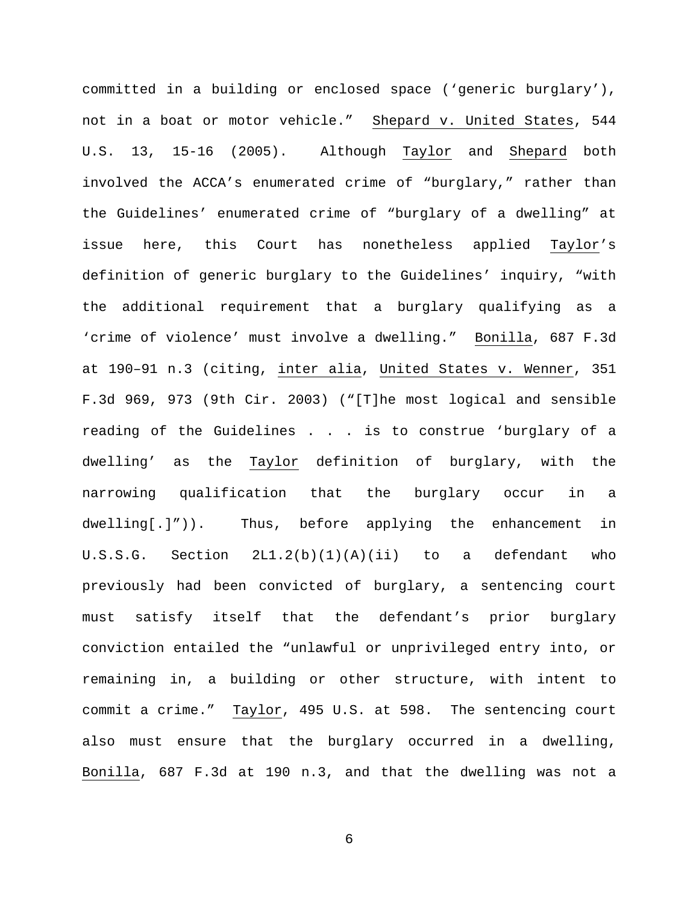committed in a building or enclosed space ('generic burglary'), not in a boat or motor vehicle." Shepard v. United States, 544 U.S. 13, 15-16 (2005). Although Taylor and Shepard both involved the ACCA's enumerated crime of "burglary," rather than the Guidelines' enumerated crime of "burglary of a dwelling" at issue here, this Court has nonetheless applied Taylor's definition of generic burglary to the Guidelines' inquiry, "with the additional requirement that a burglary qualifying as a 'crime of violence' must involve a dwelling." Bonilla, 687 F.3d at 190–91 n.3 (citing, inter alia, United States v. Wenner, 351 F.3d 969, 973 (9th Cir. 2003) ("[T]he most logical and sensible reading of the Guidelines . . . is to construe 'burglary of a dwelling' as the Taylor definition of burglary, with the narrowing qualification that the burglary occur in a dwelling[.]")). Thus, before applying the enhancement in U.S.S.G. Section  $2L1.2(b)(1)(A)(ii)$  to a defendant who previously had been convicted of burglary, a sentencing court must satisfy itself that the defendant's prior burglary conviction entailed the "unlawful or unprivileged entry into, or remaining in, a building or other structure, with intent to commit a crime." Taylor, 495 U.S. at 598. The sentencing court also must ensure that the burglary occurred in a dwelling, Bonilla, 687 F.3d at 190 n.3, and that the dwelling was not a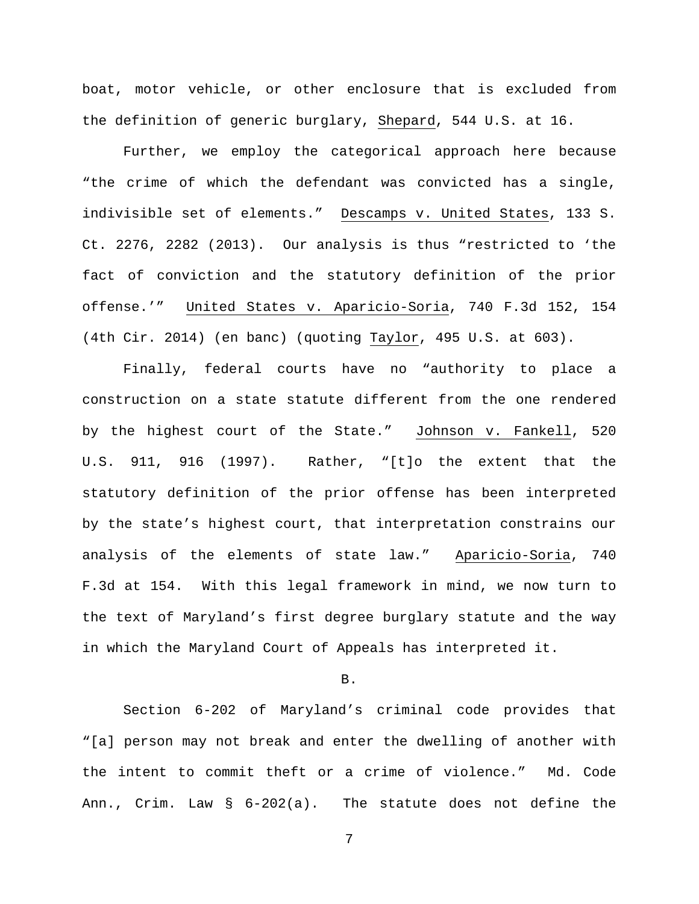boat, motor vehicle, or other enclosure that is excluded from the definition of generic burglary, Shepard, 544 U.S. at 16.

Further, we employ the categorical approach here because "the crime of which the defendant was convicted has a single, indivisible set of elements." Descamps v. United States, 133 S. Ct. 2276, 2282 (2013). Our analysis is thus "restricted to 'the fact of conviction and the statutory definition of the prior offense.'" United States v. Aparicio-Soria, 740 F.3d 152, 154 (4th Cir. 2014) (en banc) (quoting Taylor, 495 U.S. at 603).

Finally, federal courts have no "authority to place a construction on a state statute different from the one rendered by the highest court of the State." Johnson v. Fankell, 520 U.S. 911, 916 (1997). Rather, "[t]o the extent that the statutory definition of the prior offense has been interpreted by the state's highest court, that interpretation constrains our analysis of the elements of state law." Aparicio-Soria, 740 F.3d at 154. With this legal framework in mind, we now turn to the text of Maryland's first degree burglary statute and the way in which the Maryland Court of Appeals has interpreted it.

B.

Section 6-202 of Maryland's criminal code provides that "[a] person may not break and enter the dwelling of another with the intent to commit theft or a crime of violence." Md. Code Ann., Crim. Law § 6-202(a). The statute does not define the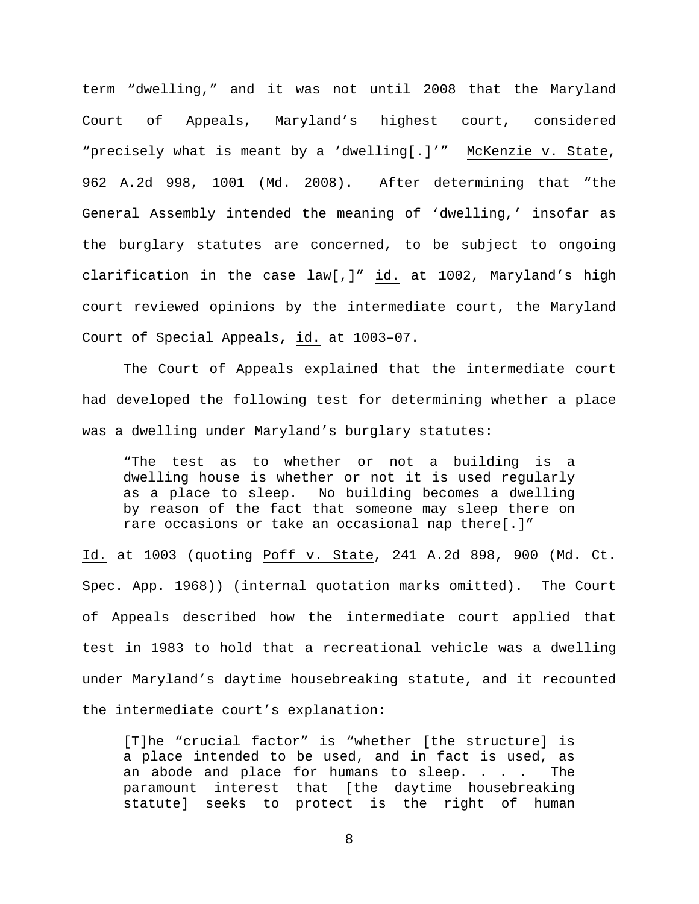term "dwelling," and it was not until 2008 that the Maryland Court of Appeals, Maryland's highest court, considered "precisely what is meant by a 'dwelling[.]'" McKenzie v. State, 962 A.2d 998, 1001 (Md. 2008). After determining that "the General Assembly intended the meaning of 'dwelling,' insofar as the burglary statutes are concerned, to be subject to ongoing clarification in the case law[,]"  $\underline{\text{id.}}$  at 1002, Maryland's high court reviewed opinions by the intermediate court, the Maryland Court of Special Appeals, id. at 1003–07.

The Court of Appeals explained that the intermediate court had developed the following test for determining whether a place was a dwelling under Maryland's burglary statutes:

"The test as to whether or not a building is a dwelling house is whether or not it is used regularly as a place to sleep. No building becomes a dwelling by reason of the fact that someone may sleep there on rare occasions or take an occasional nap there[.]"

Id. at 1003 (quoting Poff v. State, 241 A.2d 898, 900 (Md. Ct. Spec. App. 1968)) (internal quotation marks omitted). The Court of Appeals described how the intermediate court applied that test in 1983 to hold that a recreational vehicle was a dwelling under Maryland's daytime housebreaking statute, and it recounted the intermediate court's explanation:

[T]he "crucial factor" is "whether [the structure] is a place intended to be used, and in fact is used, as an abode and place for humans to sleep. . . . The paramount interest that [the daytime housebreaking statute] seeks to protect is the right of human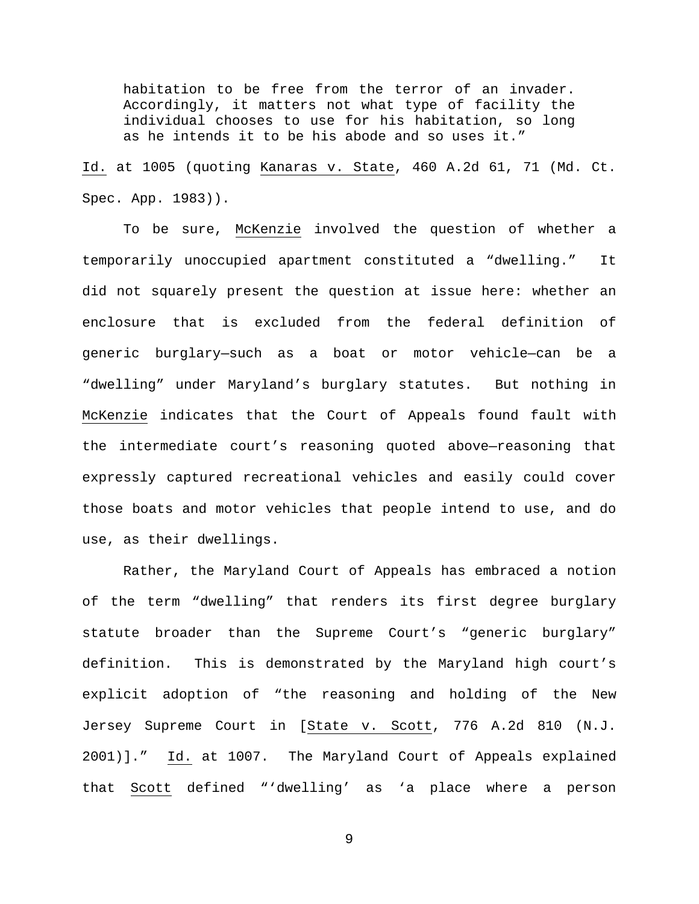habitation to be free from the terror of an invader. Accordingly, it matters not what type of facility the individual chooses to use for his habitation, so long as he intends it to be his abode and so uses it."

Id. at 1005 (quoting Kanaras v. State, 460 A.2d 61, 71 (Md. Ct. Spec. App. 1983)).

To be sure, McKenzie involved the question of whether a temporarily unoccupied apartment constituted a "dwelling." It did not squarely present the question at issue here: whether an enclosure that is excluded from the federal definition of generic burglary—such as a boat or motor vehicle—can be a "dwelling" under Maryland's burglary statutes. But nothing in McKenzie indicates that the Court of Appeals found fault with the intermediate court's reasoning quoted above—reasoning that expressly captured recreational vehicles and easily could cover those boats and motor vehicles that people intend to use, and do use, as their dwellings.

Rather, the Maryland Court of Appeals has embraced a notion of the term "dwelling" that renders its first degree burglary statute broader than the Supreme Court's "generic burglary" definition. This is demonstrated by the Maryland high court's explicit adoption of "the reasoning and holding of the New Jersey Supreme Court in [State v. Scott, 776 A.2d 810 (N.J. 2001)]." Id. at 1007. The Maryland Court of Appeals explained that Scott defined "'dwelling' as 'a place where a person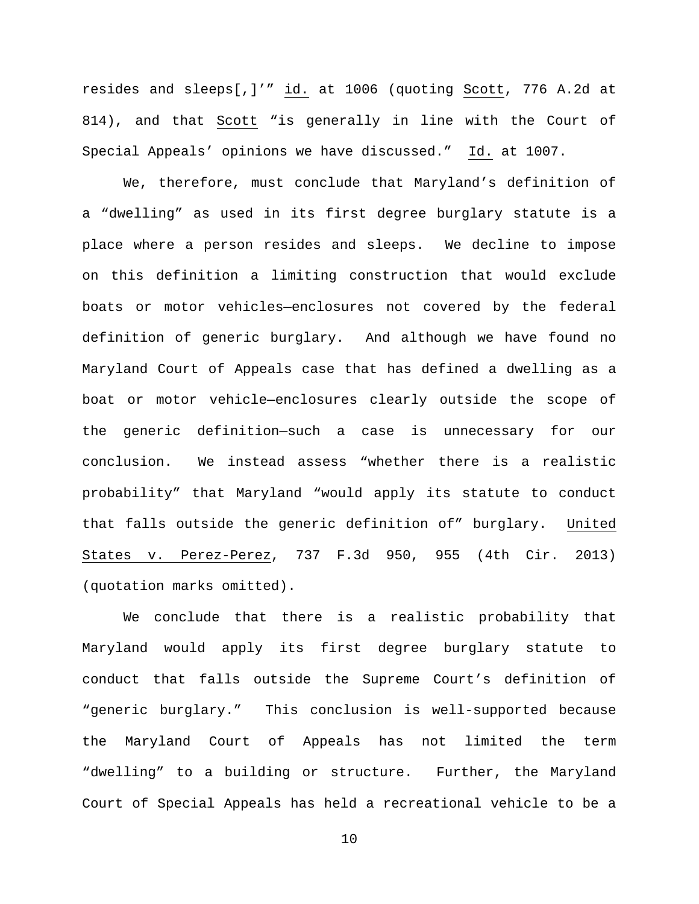resides and sleeps[,]'" id. at 1006 (quoting Scott, 776 A.2d at 814), and that Scott "is generally in line with the Court of Special Appeals' opinions we have discussed." Id. at 1007.

We, therefore, must conclude that Maryland's definition of a "dwelling" as used in its first degree burglary statute is a place where a person resides and sleeps. We decline to impose on this definition a limiting construction that would exclude boats or motor vehicles—enclosures not covered by the federal definition of generic burglary. And although we have found no Maryland Court of Appeals case that has defined a dwelling as a boat or motor vehicle—enclosures clearly outside the scope of the generic definition—such a case is unnecessary for our conclusion. We instead assess "whether there is a realistic probability" that Maryland "would apply its statute to conduct that falls outside the generic definition of" burglary. United States v. Perez-Perez, 737 F.3d 950, 955 (4th Cir. 2013) (quotation marks omitted).

We conclude that there is a realistic probability that Maryland would apply its first degree burglary statute to conduct that falls outside the Supreme Court's definition of "generic burglary." This conclusion is well-supported because the Maryland Court of Appeals has not limited the term "dwelling" to a building or structure. Further, the Maryland Court of Special Appeals has held a recreational vehicle to be a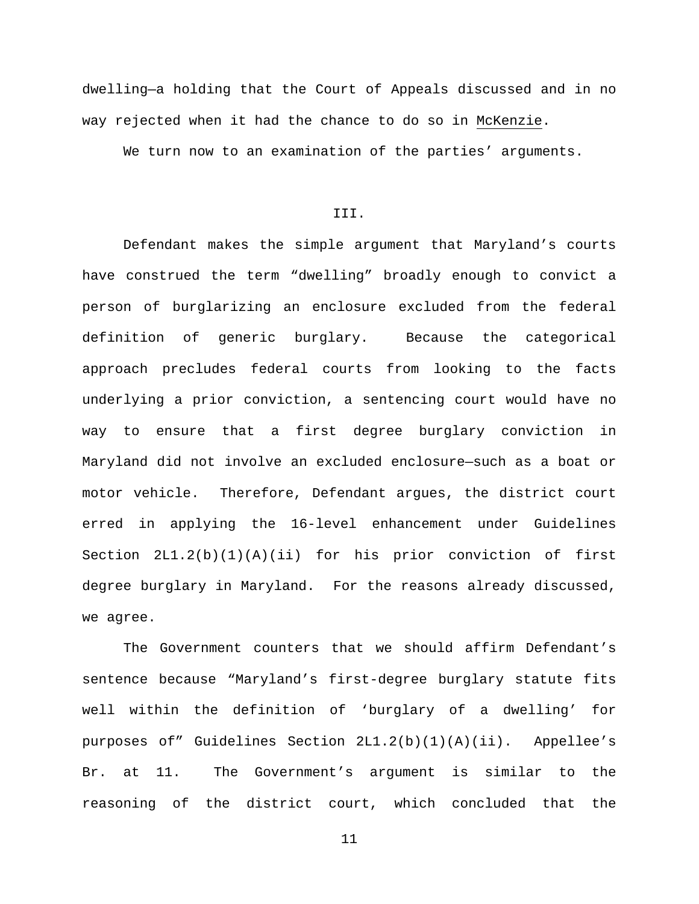dwelling—a holding that the Court of Appeals discussed and in no way rejected when it had the chance to do so in McKenzie.

We turn now to an examination of the parties' arguments.

III.

Defendant makes the simple argument that Maryland's courts have construed the term "dwelling" broadly enough to convict a person of burglarizing an enclosure excluded from the federal definition of generic burglary. Because the categorical approach precludes federal courts from looking to the facts underlying a prior conviction, a sentencing court would have no way to ensure that a first degree burglary conviction in Maryland did not involve an excluded enclosure—such as a boat or motor vehicle. Therefore, Defendant argues, the district court erred in applying the 16-level enhancement under Guidelines Section  $2L1.2(b)(1)(A)(ii)$  for his prior conviction of first degree burglary in Maryland. For the reasons already discussed, we agree.

The Government counters that we should affirm Defendant's sentence because "Maryland's first-degree burglary statute fits well within the definition of 'burglary of a dwelling' for purposes of" Guidelines Section 2L1.2(b)(1)(A)(ii). Appellee's Br. at 11. The Government's argument is similar to the reasoning of the district court, which concluded that the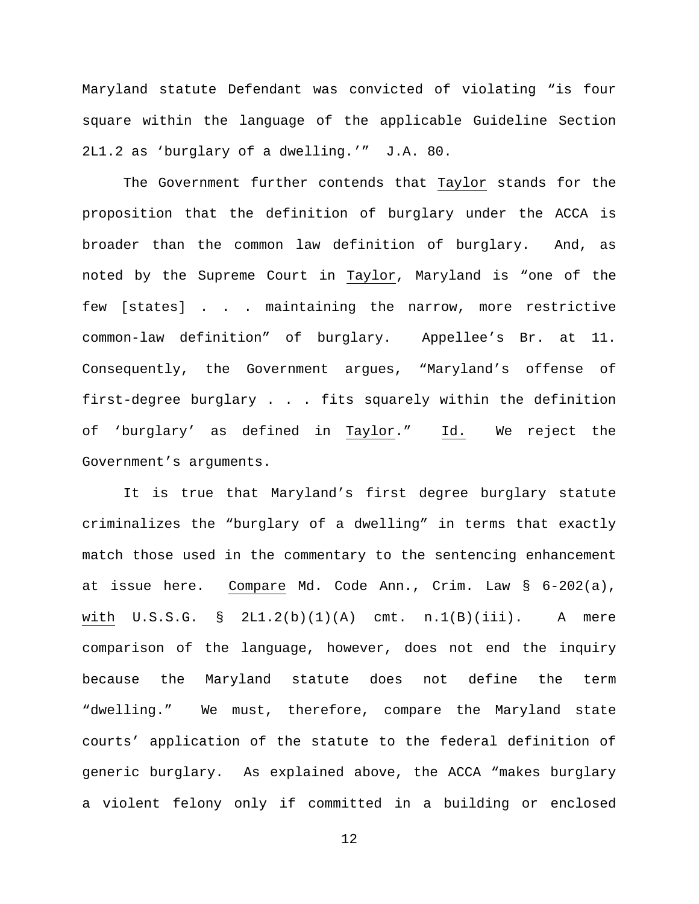Maryland statute Defendant was convicted of violating "is four square within the language of the applicable Guideline Section 2L1.2 as 'burglary of a dwelling.'" J.A. 80.

The Government further contends that Taylor stands for the proposition that the definition of burglary under the ACCA is broader than the common law definition of burglary. And, as noted by the Supreme Court in Taylor, Maryland is "one of the few [states] . . . maintaining the narrow, more restrictive common-law definition" of burglary. Appellee's Br. at 11. Consequently, the Government argues, "Maryland's offense of first-degree burglary . . . fits squarely within the definition of 'burglary' as defined in Taylor." Id. We reject the Government's arguments.

It is true that Maryland's first degree burglary statute criminalizes the "burglary of a dwelling" in terms that exactly match those used in the commentary to the sentencing enhancement at issue here. Compare Md. Code Ann., Crim. Law § 6-202(a), with  $U.S.S.G. S_2LI.2(b)(1)(A)$  cmt.  $n.1(B)(iii)$ . A mere comparison of the language, however, does not end the inquiry because the Maryland statute does not define the term "dwelling." We must, therefore, compare the Maryland state courts' application of the statute to the federal definition of generic burglary. As explained above, the ACCA "makes burglary a violent felony only if committed in a building or enclosed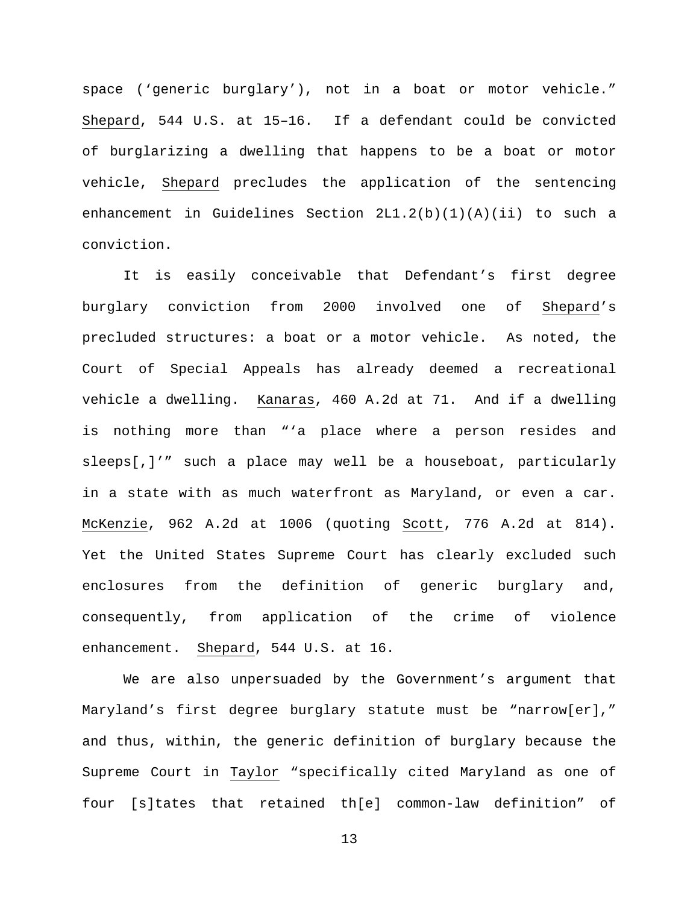space ('generic burglary'), not in a boat or motor vehicle." Shepard, 544 U.S. at 15–16. If a defendant could be convicted of burglarizing a dwelling that happens to be a boat or motor vehicle, Shepard precludes the application of the sentencing enhancement in Guidelines Section 2L1.2(b)(1)(A)(ii) to such a conviction.

It is easily conceivable that Defendant's first degree burglary conviction from 2000 involved one of Shepard's precluded structures: a boat or a motor vehicle. As noted, the Court of Special Appeals has already deemed a recreational vehicle a dwelling. Kanaras, 460 A.2d at 71. And if a dwelling is nothing more than "'a place where a person resides and sleeps[,]'" such a place may well be a houseboat, particularly in a state with as much waterfront as Maryland, or even a car. McKenzie, 962 A.2d at 1006 (quoting Scott, 776 A.2d at 814). Yet the United States Supreme Court has clearly excluded such enclosures from the definition of generic burglary and, consequently, from application of the crime of violence enhancement. Shepard, 544 U.S. at 16.

We are also unpersuaded by the Government's argument that Maryland's first degree burglary statute must be "narrow[er]," and thus, within, the generic definition of burglary because the Supreme Court in Taylor "specifically cited Maryland as one of four [s]tates that retained th[e] common-law definition" of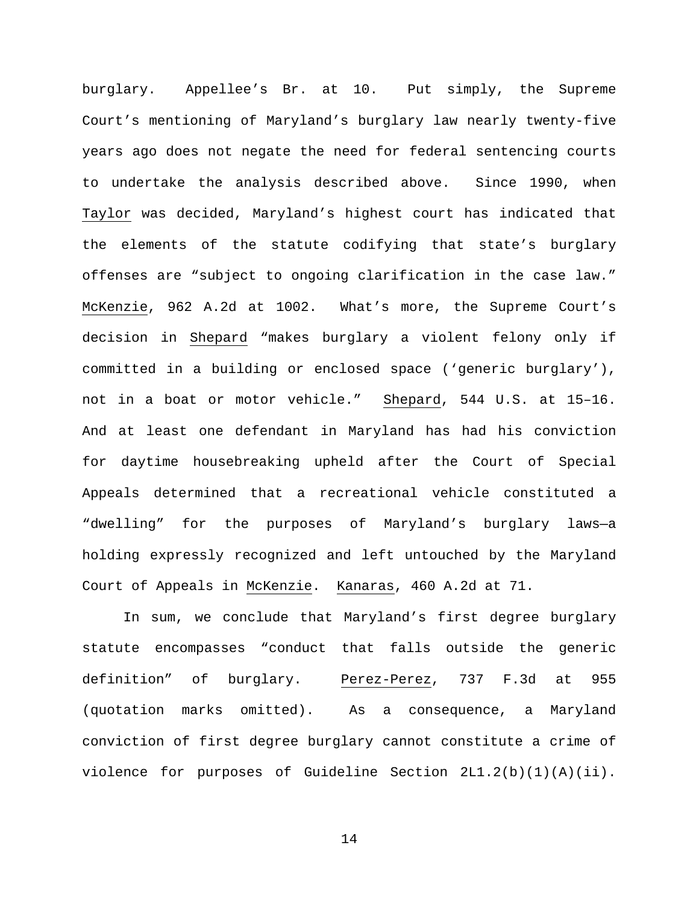burglary. Appellee's Br. at 10. Put simply, the Supreme Court's mentioning of Maryland's burglary law nearly twenty-five years ago does not negate the need for federal sentencing courts to undertake the analysis described above. Since 1990, when Taylor was decided, Maryland's highest court has indicated that the elements of the statute codifying that state's burglary offenses are "subject to ongoing clarification in the case law." McKenzie, 962 A.2d at 1002. What's more, the Supreme Court's decision in Shepard "makes burglary a violent felony only if committed in a building or enclosed space ('generic burglary'), not in a boat or motor vehicle." Shepard, 544 U.S. at 15–16. And at least one defendant in Maryland has had his conviction for daytime housebreaking upheld after the Court of Special Appeals determined that a recreational vehicle constituted a "dwelling" for the purposes of Maryland's burglary laws—a holding expressly recognized and left untouched by the Maryland Court of Appeals in McKenzie. Kanaras, 460 A.2d at 71.

In sum, we conclude that Maryland's first degree burglary statute encompasses "conduct that falls outside the generic definition" of burglary. Perez-Perez, 737 F.3d at 955 (quotation marks omitted). As a consequence, a Maryland conviction of first degree burglary cannot constitute a crime of violence for purposes of Guideline Section 2L1.2(b)(1)(A)(ii).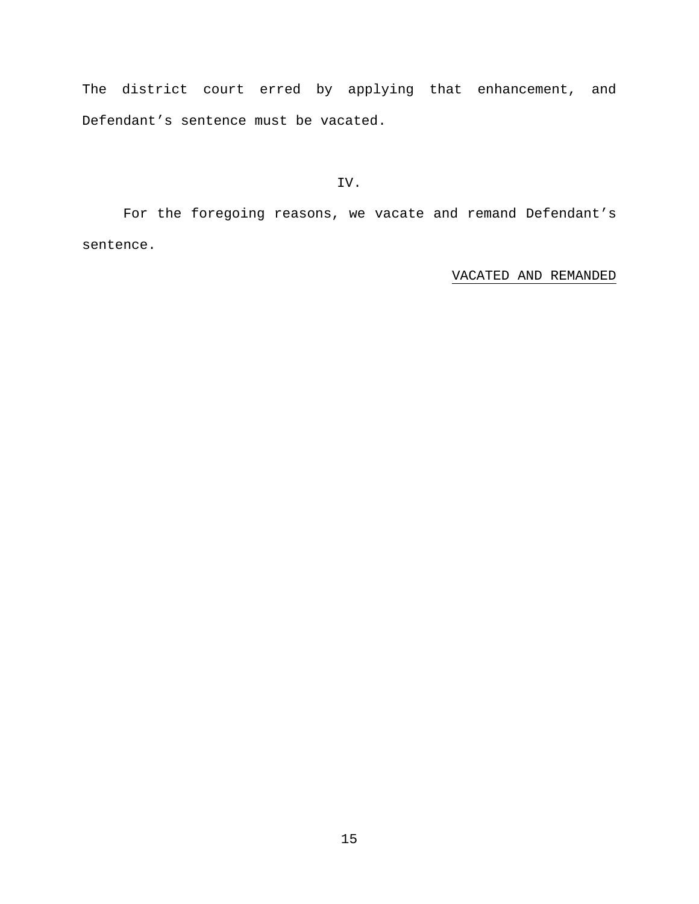The district court erred by applying that enhancement, and Defendant's sentence must be vacated.

IV.

For the foregoing reasons, we vacate and remand Defendant's sentence.

VACATED AND REMANDED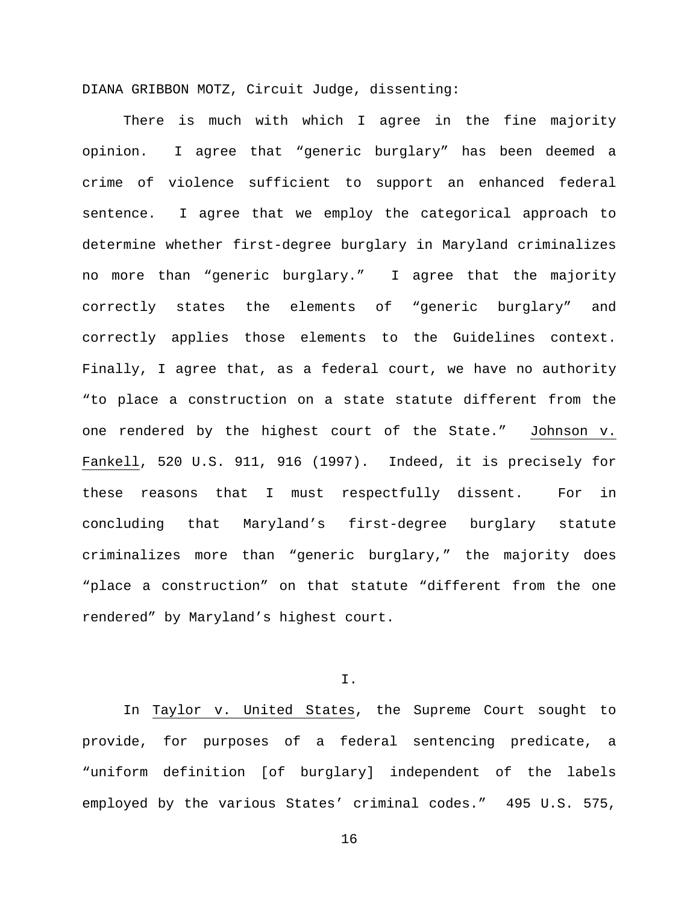DIANA GRIBBON MOTZ, Circuit Judge, dissenting:

There is much with which I agree in the fine majority opinion. I agree that "generic burglary" has been deemed a crime of violence sufficient to support an enhanced federal sentence. I agree that we employ the categorical approach to determine whether first-degree burglary in Maryland criminalizes no more than "generic burglary." I agree that the majority correctly states the elements of "generic burglary" and correctly applies those elements to the Guidelines context. Finally, I agree that, as a federal court, we have no authority "to place a construction on a state statute different from the one rendered by the highest court of the State." Johnson v. Fankell, 520 U.S. 911, 916 (1997). Indeed, it is precisely for these reasons that I must respectfully dissent. For in concluding that Maryland's first-degree burglary statute criminalizes more than "generic burglary," the majority does "place a construction" on that statute "different from the one rendered" by Maryland's highest court.

I.

In Taylor v. United States, the Supreme Court sought to provide, for purposes of a federal sentencing predicate, a "uniform definition [of burglary] independent of the labels employed by the various States' criminal codes." 495 U.S. 575,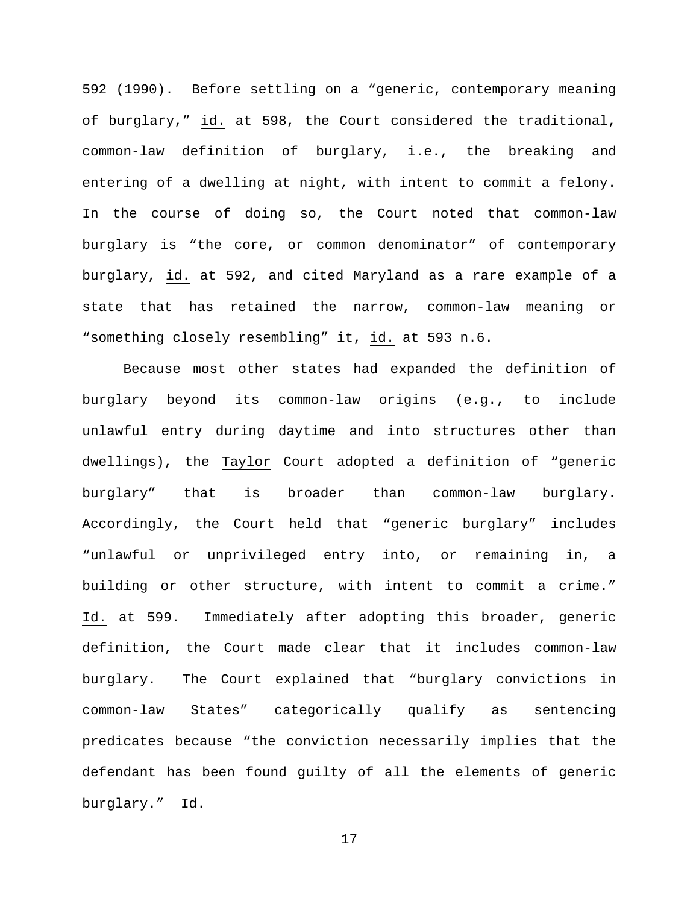592 (1990). Before settling on a "generic, contemporary meaning of burglary," id. at 598, the Court considered the traditional, common-law definition of burglary, i.e., the breaking and entering of a dwelling at night, with intent to commit a felony. In the course of doing so, the Court noted that common-law burglary is "the core, or common denominator" of contemporary burglary, id. at 592, and cited Maryland as a rare example of a state that has retained the narrow, common-law meaning or "something closely resembling" it, id. at 593 n.6.

Because most other states had expanded the definition of burglary beyond its common-law origins (e.g., to include unlawful entry during daytime and into structures other than dwellings), the Taylor Court adopted a definition of "generic burglary" that is broader than common-law burglary. Accordingly, the Court held that "generic burglary" includes "unlawful or unprivileged entry into, or remaining in, a building or other structure, with intent to commit a crime." Id. at 599. Immediately after adopting this broader, generic definition, the Court made clear that it includes common-law burglary. The Court explained that "burglary convictions in common-law States" categorically qualify as sentencing predicates because "the conviction necessarily implies that the defendant has been found guilty of all the elements of generic burglary." Id.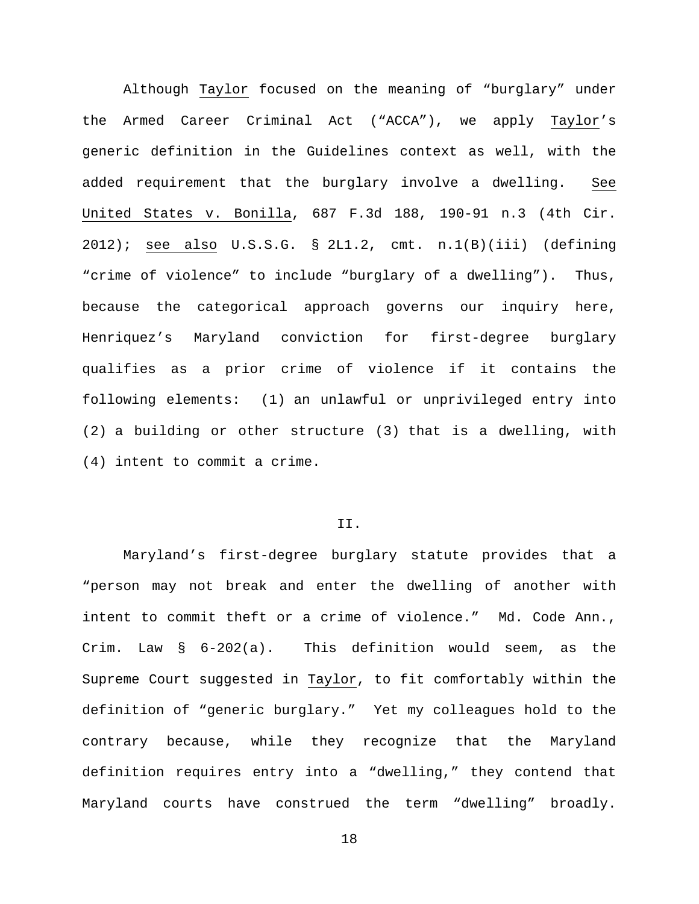Although Taylor focused on the meaning of "burglary" under the Armed Career Criminal Act ("ACCA"), we apply Taylor's generic definition in the Guidelines context as well, with the added requirement that the burglary involve a dwelling. See United States v. Bonilla, 687 F.3d 188, 190-91 n.3 (4th Cir. 2012); see also U.S.S.G. § 2L1.2, cmt. n.1(B)(iii) (defining "crime of violence" to include "burglary of a dwelling"). Thus, because the categorical approach governs our inquiry here, Henriquez's Maryland conviction for first-degree burglary qualifies as a prior crime of violence if it contains the following elements: (1) an unlawful or unprivileged entry into (2) a building or other structure (3) that is a dwelling, with (4) intent to commit a crime.

# II.

Maryland's first-degree burglary statute provides that a "person may not break and enter the dwelling of another with intent to commit theft or a crime of violence." Md. Code Ann., Crim. Law § 6-202(a). This definition would seem, as the Supreme Court suggested in Taylor, to fit comfortably within the definition of "generic burglary." Yet my colleagues hold to the contrary because, while they recognize that the Maryland definition requires entry into a "dwelling," they contend that Maryland courts have construed the term "dwelling" broadly.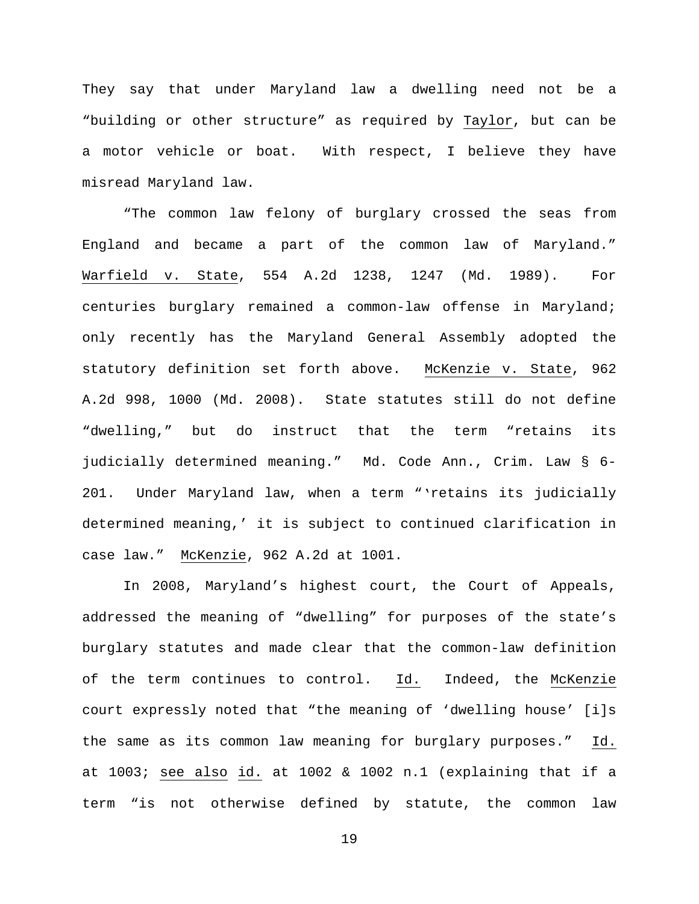They say that under Maryland law a dwelling need not be a "building or other structure" as required by Taylor, but can be a motor vehicle or boat. With respect, I believe they have misread Maryland law.

"The common law felony of burglary crossed the seas from England and became a part of the common law of Maryland." Warfield v. State, 554 A.2d 1238, 1247 (Md. 1989). For centuries burglary remained a common-law offense in Maryland; only recently has the Maryland General Assembly adopted the statutory definition set forth above. McKenzie v. State, 962 A.2d 998, 1000 (Md. 2008). State statutes still do not define "dwelling," but do instruct that the term "retains its judicially determined meaning." Md. Code Ann., Crim. Law § 6- 201. Under Maryland law, when a term "'retains its judicially determined meaning,' it is subject to continued clarification in case law." McKenzie, 962 A.2d at 1001.

In 2008, Maryland's highest court, the Court of Appeals, addressed the meaning of "dwelling" for purposes of the state's burglary statutes and made clear that the common-law definition of the term continues to control. Id. Indeed, the McKenzie court expressly noted that "the meaning of 'dwelling house' [i]s the same as its common law meaning for burglary purposes." Id. at 1003; see also id. at 1002 & 1002 n.1 (explaining that if a term "is not otherwise defined by statute, the common law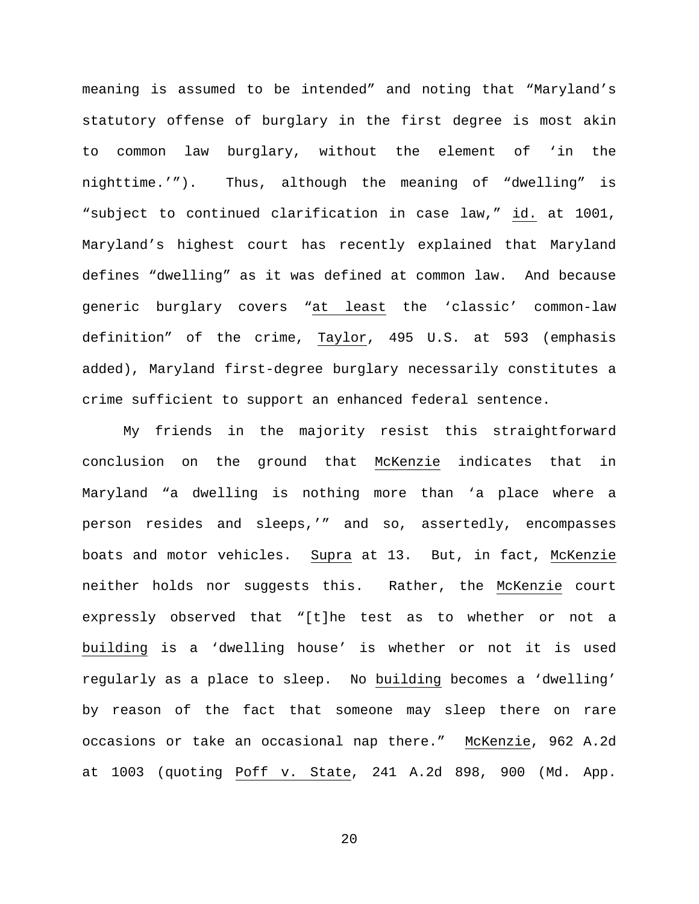meaning is assumed to be intended" and noting that "Maryland's statutory offense of burglary in the first degree is most akin to common law burglary, without the element of 'in the nighttime.'"). Thus, although the meaning of "dwelling" is "subject to continued clarification in case law," id. at 1001, Maryland's highest court has recently explained that Maryland defines "dwelling" as it was defined at common law. And because generic burglary covers "at least the 'classic' common-law definition" of the crime, Taylor, 495 U.S. at 593 (emphasis added), Maryland first-degree burglary necessarily constitutes a crime sufficient to support an enhanced federal sentence.

My friends in the majority resist this straightforward conclusion on the ground that McKenzie indicates that in Maryland "a dwelling is nothing more than 'a place where a person resides and sleeps,'" and so, assertedly, encompasses boats and motor vehicles. Supra at 13. But, in fact, McKenzie neither holds nor suggests this. Rather, the McKenzie court expressly observed that "[t]he test as to whether or not a building is a 'dwelling house' is whether or not it is used regularly as a place to sleep. No building becomes a 'dwelling' by reason of the fact that someone may sleep there on rare occasions or take an occasional nap there." McKenzie, 962 A.2d at 1003 (quoting Poff v. State, 241 A.2d 898, 900 (Md. App.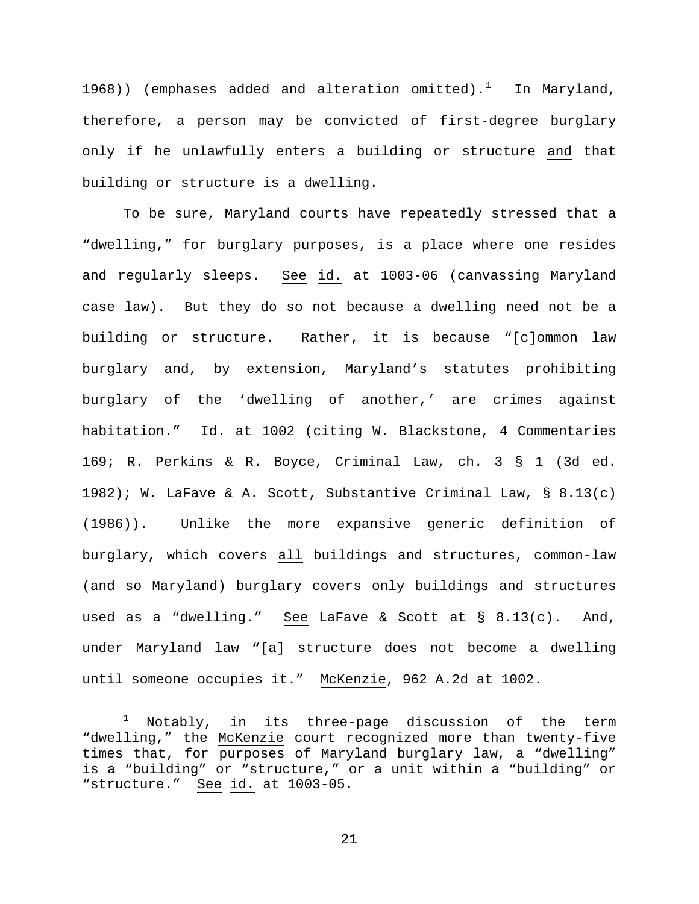[1](#page-20-0)968)) (emphases added and alteration omitted). $^1$  In Maryland, therefore, a person may be convicted of first-degree burglary only if he unlawfully enters a building or structure and that building or structure is a dwelling.

To be sure, Maryland courts have repeatedly stressed that a "dwelling," for burglary purposes, is a place where one resides and regularly sleeps. See id. at 1003-06 (canvassing Maryland case law). But they do so not because a dwelling need not be a building or structure. Rather, it is because "[c]ommon law burglary and, by extension, Maryland's statutes prohibiting burglary of the 'dwelling of another,' are crimes against habitation." Id. at 1002 (citing W. Blackstone, 4 Commentaries 169; R. Perkins & R. Boyce, Criminal Law, ch. 3 § 1 (3d ed. 1982); W. LaFave & A. Scott, Substantive Criminal Law,  $\S$  8.13(c) (1986)). Unlike the more expansive generic definition of burglary, which covers all buildings and structures, common-law (and so Maryland) burglary covers only buildings and structures used as a "dwelling." See LaFave & Scott at § 8.13(c). And, under Maryland law "[a] structure does not become a dwelling until someone occupies it." McKenzie, 962 A.2d at 1002.

<span id="page-20-0"></span> $1$  Notably, in its three-page discussion of the term "dwelling," the McKenzie court recognized more than twenty-five times that, for purposes of Maryland burglary law, a "dwelling" is a "building" or "structure," or a unit within a "building" or "structure." See id. at 1003-05.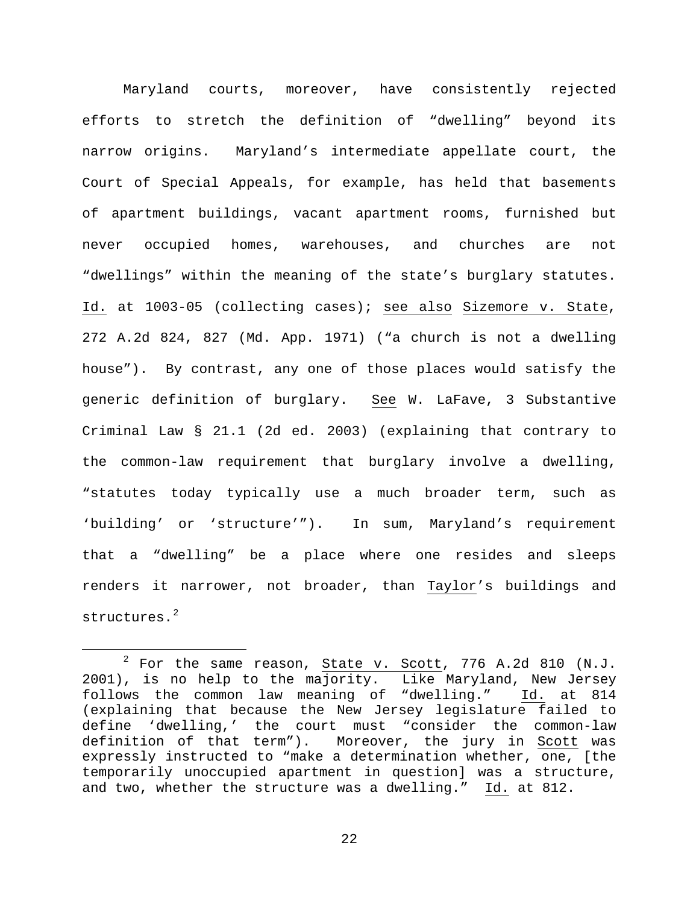Maryland courts, moreover, have consistently rejected efforts to stretch the definition of "dwelling" beyond its narrow origins. Maryland's intermediate appellate court, the Court of Special Appeals, for example, has held that basements of apartment buildings, vacant apartment rooms, furnished but never occupied homes, warehouses, and churches are not "dwellings" within the meaning of the state's burglary statutes. Id. at 1003-05 (collecting cases); see also Sizemore v. State, 272 A.2d 824, 827 (Md. App. 1971) ("a church is not a dwelling house"). By contrast, any one of those places would satisfy the generic definition of burglary. See W. LaFave, 3 Substantive Criminal Law § 21.1 (2d ed. 2003) (explaining that contrary to the common-law requirement that burglary involve a dwelling, "statutes today typically use a much broader term, such as 'building' or 'structure'"). In sum, Maryland's requirement that a "dwelling" be a place where one resides and sleeps renders it narrower, not broader, than Taylor's buildings and structures.<sup>[2](#page-21-0)</sup>

<span id="page-21-0"></span> $2$  For the same reason, State v. Scott, 776 A.2d 810 (N.J. 2001), is no help to the majority. Like Maryland, New Jersey follows the common law meaning of "dwelling." Id. at 814 (explaining that because the New Jersey legislature failed to define 'dwelling,' the court must "consider the common-law<br>definition of that term"). Moreover, the jury in Scott was Moreover, the jury in Scott was expressly instructed to "make a determination whether, one, [the temporarily unoccupied apartment in question] was a structure, and two, whether the structure was a dwelling." Id. at 812.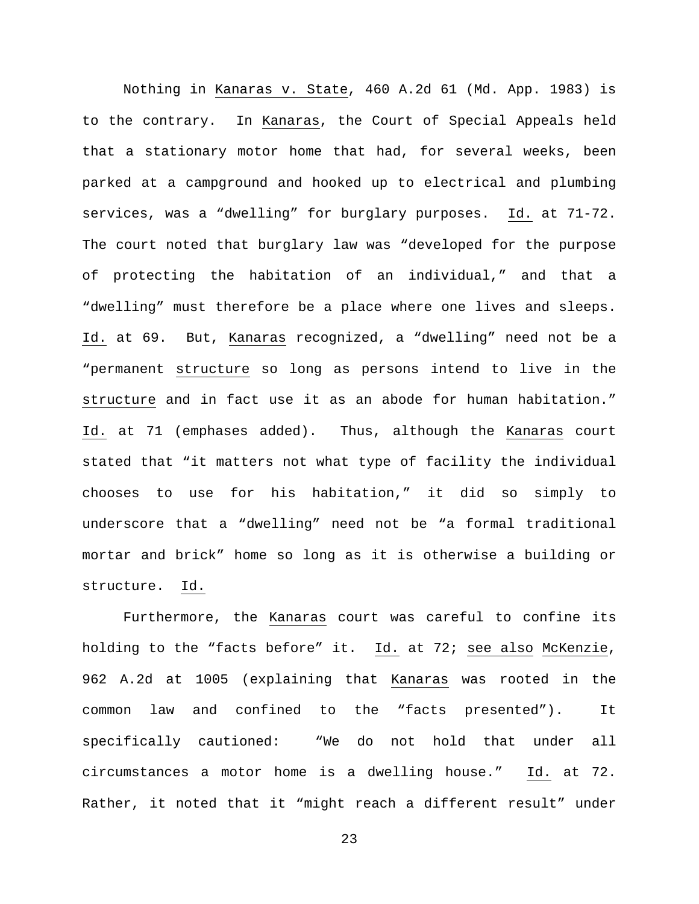Nothing in Kanaras v. State, 460 A.2d 61 (Md. App. 1983) is to the contrary. In Kanaras, the Court of Special Appeals held that a stationary motor home that had, for several weeks, been parked at a campground and hooked up to electrical and plumbing services, was a "dwelling" for burglary purposes. Id. at 71-72. The court noted that burglary law was "developed for the purpose of protecting the habitation of an individual," and that a "dwelling" must therefore be a place where one lives and sleeps. Id. at 69. But, Kanaras recognized, a "dwelling" need not be a "permanent structure so long as persons intend to live in the structure and in fact use it as an abode for human habitation." Id. at 71 (emphases added). Thus, although the Kanaras court stated that "it matters not what type of facility the individual chooses to use for his habitation," it did so simply to underscore that a "dwelling" need not be "a formal traditional mortar and brick" home so long as it is otherwise a building or structure. Id.

Furthermore, the Kanaras court was careful to confine its holding to the "facts before" it. Id. at 72; see also McKenzie, 962 A.2d at 1005 (explaining that Kanaras was rooted in the common law and confined to the "facts presented"). It specifically cautioned: "We do not hold that under all circumstances a motor home is a dwelling house." Id. at 72. Rather, it noted that it "might reach a different result" under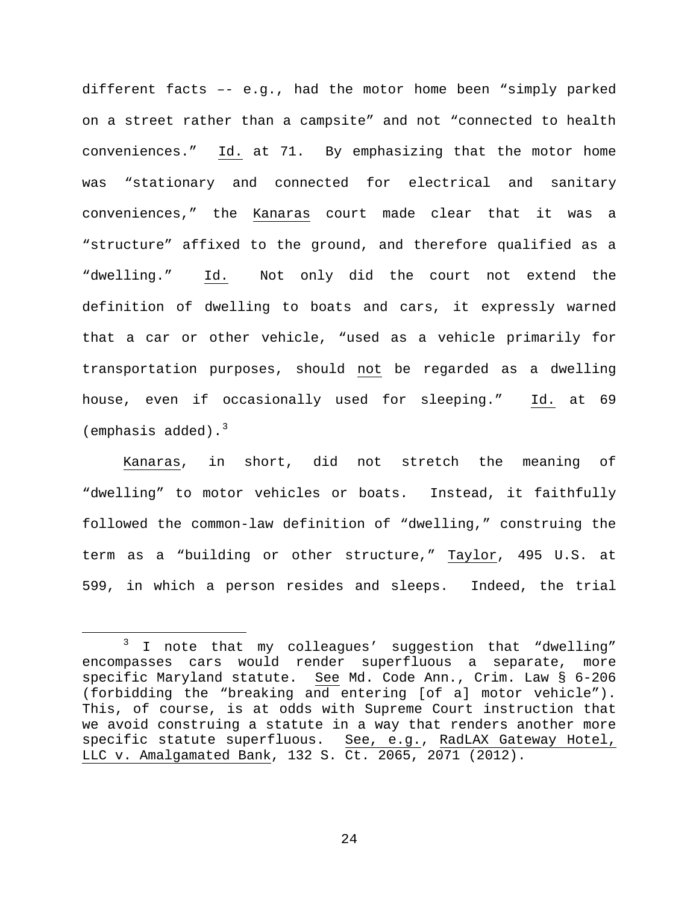different facts –- e.g., had the motor home been "simply parked on a street rather than a campsite" and not "connected to health conveniences." Id. at 71. By emphasizing that the motor home was "stationary and connected for electrical and sanitary conveniences," the Kanaras court made clear that it was a "structure" affixed to the ground, and therefore qualified as a "dwelling." Id. Not only did the court not extend the definition of dwelling to boats and cars, it expressly warned that a car or other vehicle, "used as a vehicle primarily for transportation purposes, should not be regarded as a dwelling house, even if occasionally used for sleeping." Id. at 69 (emphasis added). $3$ 

Kanaras, in short, did not stretch the meaning of "dwelling" to motor vehicles or boats. Instead, it faithfully followed the common-law definition of "dwelling," construing the term as a "building or other structure," Taylor, 495 U.S. at 599, in which a person resides and sleeps. Indeed, the trial

<span id="page-23-0"></span><sup>&</sup>lt;sup>3</sup> I note that my colleagues' suggestion that "dwelling" encompasses cars would render superfluous a separate, more specific Maryland statute. See Md. Code Ann., Crim. Law § 6-206 (forbidding the "breaking and entering [of a] motor vehicle"). This, of course, is at odds with Supreme Court instruction that we avoid construing a statute in a way that renders another more<br>specific statute superfluous. See, e.g., RadLAX Gateway Hotel, See, e.g., RadLAX Gateway Hotel, LLC v. Amalgamated Bank, 132 S. Ct. 2065, 2071 (2012).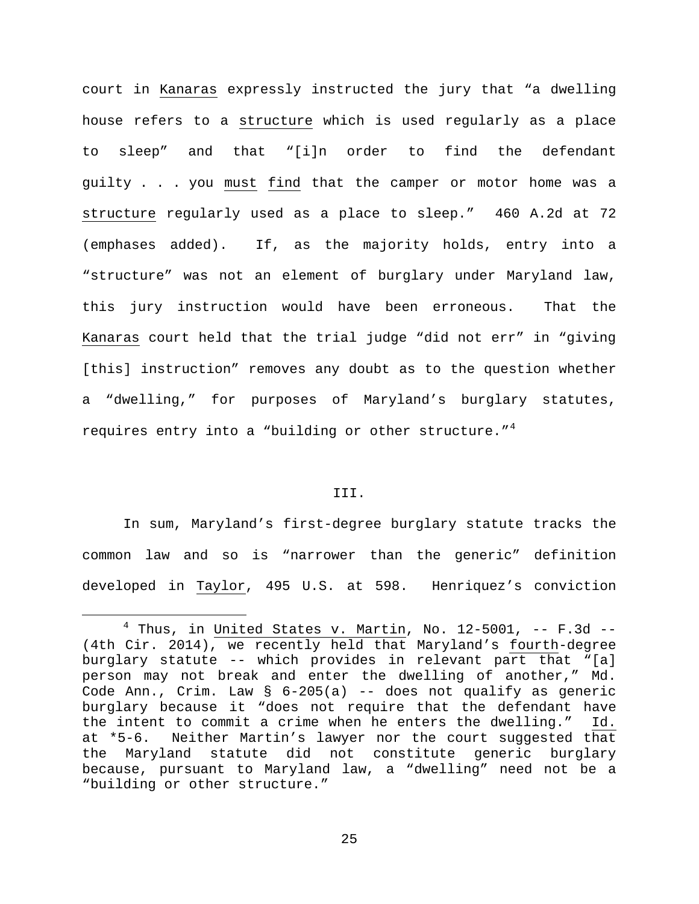court in Kanaras expressly instructed the jury that "a dwelling house refers to a structure which is used regularly as a place to sleep" and that "[i]n order to find the defendant guilty . . . you must find that the camper or motor home was a structure regularly used as a place to sleep." 460 A.2d at 72 (emphases added). If, as the majority holds, entry into a "structure" was not an element of burglary under Maryland law, this jury instruction would have been erroneous. That the Kanaras court held that the trial judge "did not err" in "giving [this] instruction" removes any doubt as to the question whether a "dwelling," for purposes of Maryland's burglary statutes, requires entry into a "building or other structure."<sup>[4](#page-24-0)</sup>

# III.

In sum, Maryland's first-degree burglary statute tracks the common law and so is "narrower than the generic" definition developed in Taylor, 495 U.S. at 598. Henriquez's conviction

<span id="page-24-0"></span> $4$  Thus, in United States v. Martin, No. 12-5001, -- F.3d --(4th Cir. 2014), we recently held that Maryland's fourth-degree burglary statute -- which provides in relevant part that "[a] person may not break and enter the dwelling of another," Md. Code Ann., Crim. Law  $\S$  6-205(a) -- does not qualify as generic burglary because it "does not require that the defendant have<br>the intent to commit a crime when he enters the dwelling." Id. the intent to commit a crime when he enters the dwelling." at \*5-6. Neither Martin's lawyer nor the court suggested that the Maryland statute did not constitute generic burglary because, pursuant to Maryland law, a "dwelling" need not be a "building or other structure."